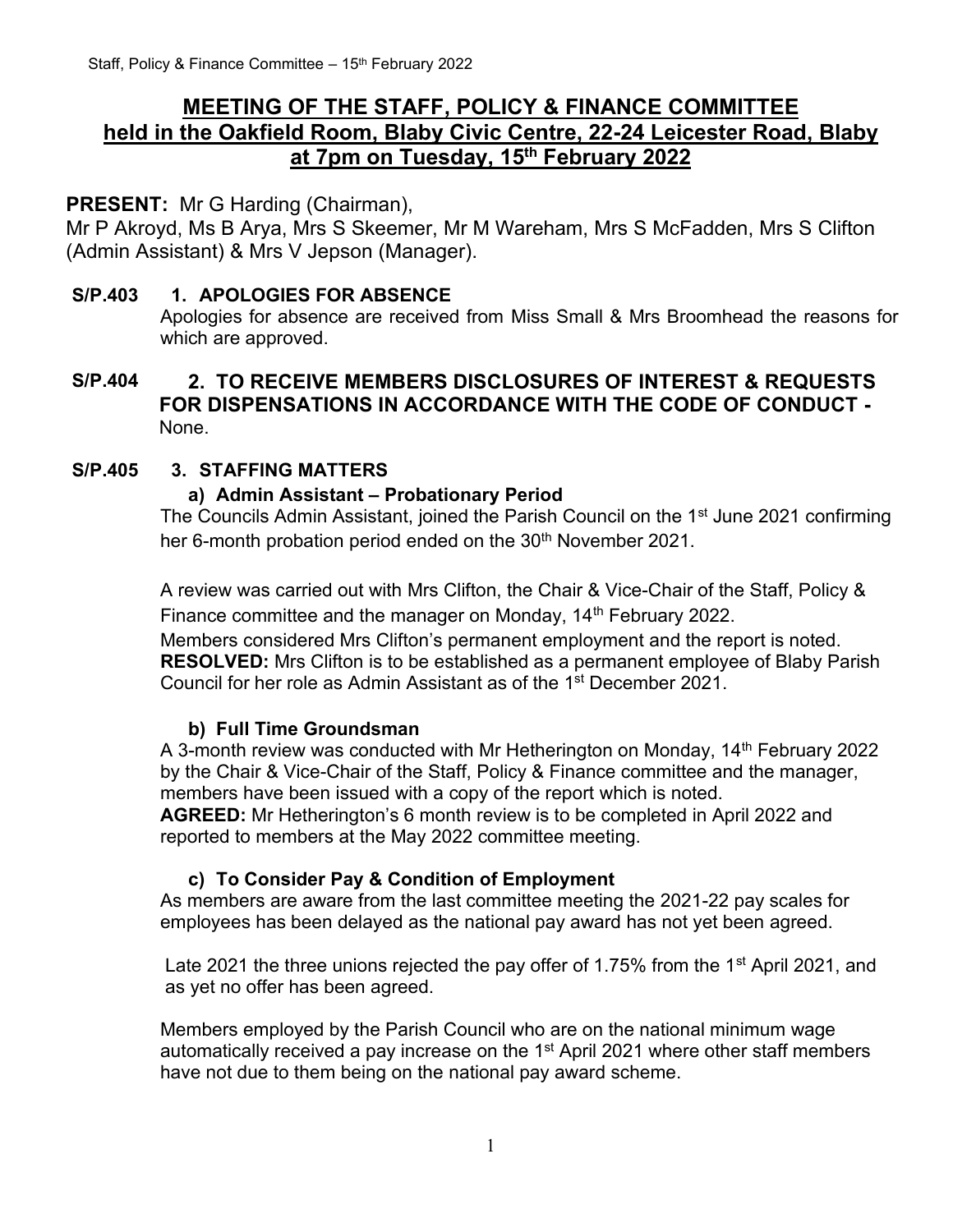# **MEETING OF THE STAFF, POLICY & FINANCE COMMITTEE held in the Oakfield Room, Blaby Civic Centre, 22-24 Leicester Road, Blaby at 7pm on Tuesday, 15 th February 2022**

## **PRESENT:** Mr G Harding (Chairman),

Mr P Akroyd, Ms B Arya, Mrs S Skeemer, Mr M Wareham, Mrs S McFadden, Mrs S Clifton (Admin Assistant) & Mrs V Jepson (Manager).

#### **S/P.403 1. APOLOGIES FOR ABSENCE**

Apologies for absence are received from Miss Small & Mrs Broomhead the reasons for which are approved.

## **S/P.404 2. TO RECEIVE MEMBERS DISCLOSURES OF INTEREST & REQUESTS FOR DISPENSATIONS IN ACCORDANCE WITH THE CODE OF CONDUCT -** None.

#### **S/P.405 3. STAFFING MATTERS**

#### **a) Admin Assistant – Probationary Period**

The Councils Admin Assistant, joined the Parish Council on the 1<sup>st</sup> June 2021 confirming her 6-month probation period ended on the 30<sup>th</sup> November 2021.

A review was carried out with Mrs Clifton, the Chair & Vice-Chair of the Staff, Policy & Finance committee and the manager on Monday, 14<sup>th</sup> February 2022.

Members considered Mrs Clifton's permanent employment and the report is noted. **RESOLVED:** Mrs Clifton is to be established as a permanent employee of Blaby Parish Council for her role as Admin Assistant as of the 1st December 2021.

#### **b) Full Time Groundsman**

A 3-month review was conducted with Mr Hetherington on Monday, 14<sup>th</sup> February 2022 by the Chair & Vice-Chair of the Staff, Policy & Finance committee and the manager, members have been issued with a copy of the report which is noted. **AGREED:** Mr Hetherington's 6 month review is to be completed in April 2022 and reported to members at the May 2022 committee meeting.

#### **c) To Consider Pay & Condition of Employment**

As members are aware from the last committee meeting the 2021-22 pay scales for employees has been delayed as the national pay award has not yet been agreed.

Late 2021 the three unions rejected the pay offer of 1.75% from the 1<sup>st</sup> April 2021, and as yet no offer has been agreed.

Members employed by the Parish Council who are on the national minimum wage automatically received a pay increase on the 1<sup>st</sup> April 2021 where other staff members have not due to them being on the national pay award scheme.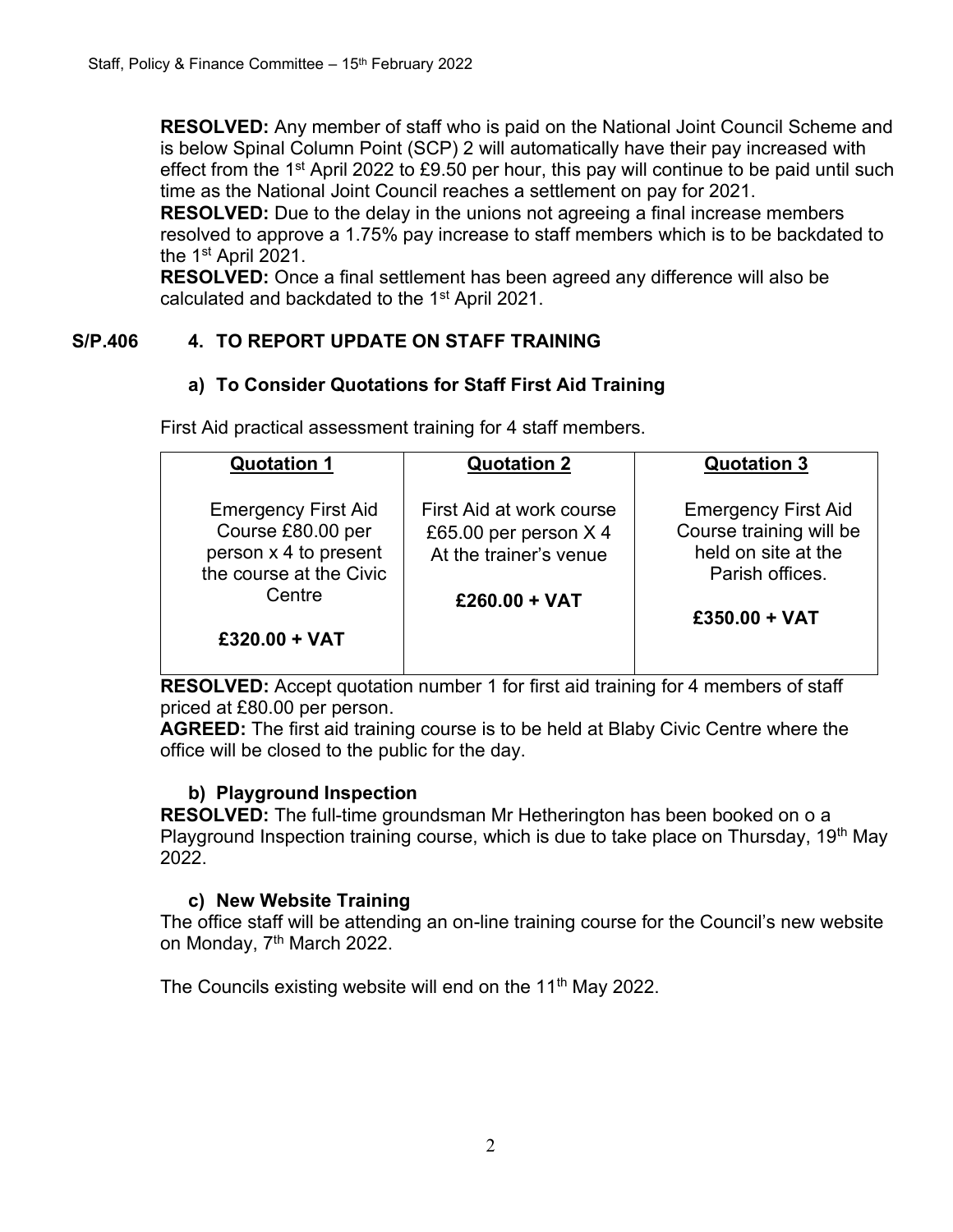**RESOLVED:** Any member of staff who is paid on the National Joint Council Scheme and is below Spinal Column Point (SCP) 2 will automatically have their pay increased with effect from the 1<sup>st</sup> April 2022 to £9.50 per hour, this pay will continue to be paid until such time as the National Joint Council reaches a settlement on pay for 2021.

**RESOLVED:** Due to the delay in the unions not agreeing a final increase members resolved to approve a 1.75% pay increase to staff members which is to be backdated to the 1st April 2021.

**RESOLVED:** Once a final settlement has been agreed any difference will also be calculated and backdated to the 1st April 2021.

## **S/P.406 4. TO REPORT UPDATE ON STAFF TRAINING**

## **a) To Consider Quotations for Staff First Aid Training**

First Aid practical assessment training for 4 staff members.

| <b>Quotation 1</b>                                                                                                               | <b>Quotation 2</b>                                                                             | <b>Quotation 3</b>                                                                                                 |
|----------------------------------------------------------------------------------------------------------------------------------|------------------------------------------------------------------------------------------------|--------------------------------------------------------------------------------------------------------------------|
| <b>Emergency First Aid</b><br>Course £80.00 per<br>person x 4 to present<br>the course at the Civic<br>Centre<br>$£320.00 + VAT$ | First Aid at work course<br>£65.00 per person X 4<br>At the trainer's venue<br>$£260.00 + VAT$ | <b>Emergency First Aid</b><br>Course training will be<br>held on site at the<br>Parish offices.<br>$£350.00 + VAT$ |
|                                                                                                                                  |                                                                                                |                                                                                                                    |

**RESOLVED:** Accept quotation number 1 for first aid training for 4 members of staff priced at £80.00 per person.

**AGREED:** The first aid training course is to be held at Blaby Civic Centre where the office will be closed to the public for the day.

#### **b) Playground Inspection**

**RESOLVED:** The full-time groundsman Mr Hetherington has been booked on o a Playground Inspection training course, which is due to take place on Thursday,  $19<sup>th</sup>$  May 2022.

#### **c) New Website Training**

The office staff will be attending an on-line training course for the Council's new website on Monday, 7<sup>th</sup> March 2022.

The Councils existing website will end on the 11<sup>th</sup> May 2022.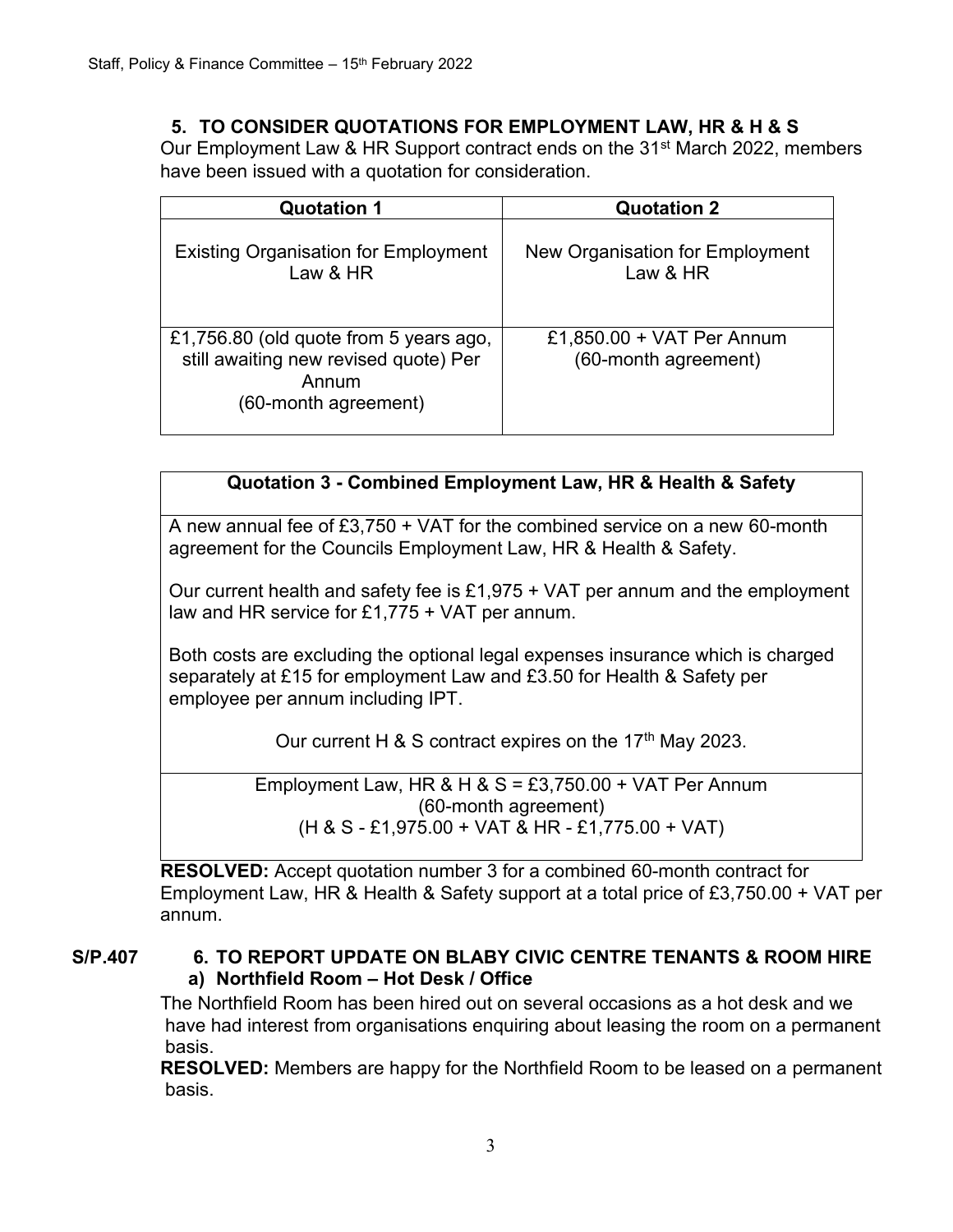#### **5. TO CONSIDER QUOTATIONS FOR EMPLOYMENT LAW, HR & H & S**

Our Employment Law & HR Support contract ends on the 31<sup>st</sup> March 2022, members have been issued with a quotation for consideration.

| <b>Quotation 1</b>                                                                                               | <b>Quotation 2</b>                                |
|------------------------------------------------------------------------------------------------------------------|---------------------------------------------------|
| <b>Existing Organisation for Employment</b><br>Law & HR                                                          | New Organisation for Employment<br>Law & HR       |
| £1,756.80 (old quote from 5 years ago,<br>still awaiting new revised quote) Per<br>Annum<br>(60-month agreement) | £1,850.00 + VAT Per Annum<br>(60-month agreement) |

#### **Quotation 3 - Combined Employment Law, HR & Health & Safety**

A new annual fee of £3,750 + VAT for the combined service on a new 60-month agreement for the Councils Employment Law, HR & Health & Safety.

Our current health and safety fee is £1,975 + VAT per annum and the employment law and HR service for £1,775 + VAT per annum.

Both costs are excluding the optional legal expenses insurance which is charged separately at £15 for employment Law and £3.50 for Health & Safety per employee per annum including IPT.

Our current H  $\&$  S contract expires on the 17<sup>th</sup> May 2023.

Employment Law, HR & H &  $S = £3,750.00 + VAT$  Per Annum (60-month agreement) (H & S - £1,975.00 + VAT & HR - £1,775.00 + VAT)

**RESOLVED:** Accept quotation number 3 for a combined 60-month contract for Employment Law, HR & Health & Safety support at a total price of £3,750.00 + VAT per annum.

#### **S/P.407 6. TO REPORT UPDATE ON BLABY CIVIC CENTRE TENANTS & ROOM HIRE a) Northfield Room – Hot Desk / Office**

The Northfield Room has been hired out on several occasions as a hot desk and we have had interest from organisations enquiring about leasing the room on a permanent basis.

**RESOLVED:** Members are happy for the Northfield Room to be leased on a permanent basis.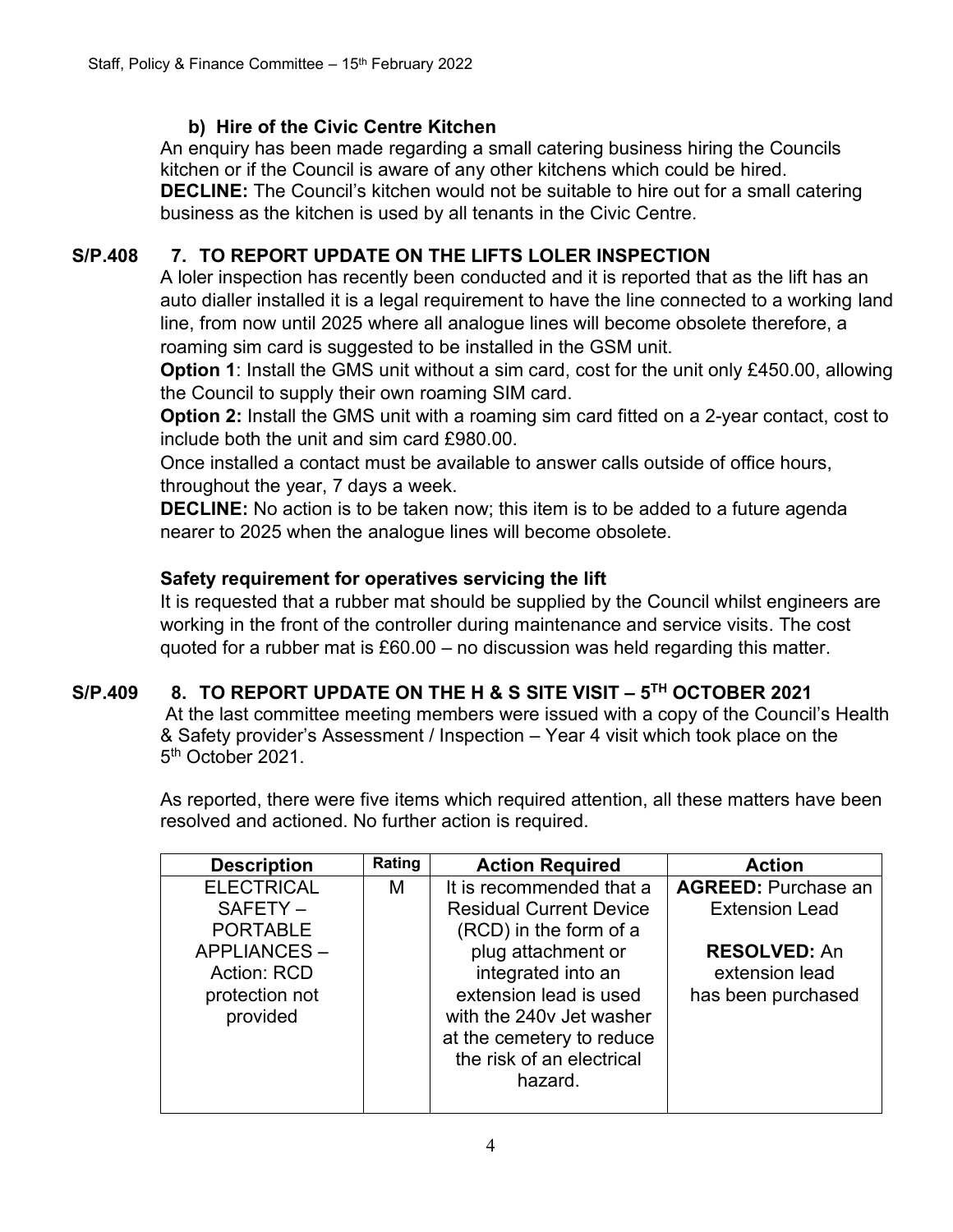## **b) Hire of the Civic Centre Kitchen**

An enquiry has been made regarding a small catering business hiring the Councils kitchen or if the Council is aware of any other kitchens which could be hired. **DECLINE:** The Council's kitchen would not be suitable to hire out for a small catering business as the kitchen is used by all tenants in the Civic Centre.

## **S/P.408 7. TO REPORT UPDATE ON THE LIFTS LOLER INSPECTION**

A loler inspection has recently been conducted and it is reported that as the lift has an auto dialler installed it is a legal requirement to have the line connected to a working land line, from now until 2025 where all analogue lines will become obsolete therefore, a roaming sim card is suggested to be installed in the GSM unit.

**Option 1:** Install the GMS unit without a sim card, cost for the unit only £450.00, allowing the Council to supply their own roaming SIM card.

**Option 2:** Install the GMS unit with a roaming sim card fitted on a 2-year contact, cost to include both the unit and sim card £980.00.

Once installed a contact must be available to answer calls outside of office hours, throughout the year, 7 days a week.

**DECLINE:** No action is to be taken now; this item is to be added to a future agenda nearer to 2025 when the analogue lines will become obsolete.

## **Safety requirement for operatives servicing the lift**

It is requested that a rubber mat should be supplied by the Council whilst engineers are working in the front of the controller during maintenance and service visits. The cost quoted for a rubber mat is £60.00 – no discussion was held regarding this matter.

# **S/P.409 8. TO REPORT UPDATE ON THE H & S SITE VISIT – 5 TH OCTOBER 2021**

At the last committee meeting members were issued with a copy of the Council's Health & Safety provider's Assessment / Inspection – Year 4 visit which took place on the 5<sup>th</sup> October 2021.

As reported, there were five items which required attention, all these matters have been resolved and actioned. No further action is required.

| <b>Description</b> | Rating | <b>Action Required</b>         | <b>Action</b>              |
|--------------------|--------|--------------------------------|----------------------------|
| <b>ELECTRICAL</b>  | M      | It is recommended that a       | <b>AGREED: Purchase an</b> |
| SAFETY-            |        | <b>Residual Current Device</b> | <b>Extension Lead</b>      |
| <b>PORTABLE</b>    |        | (RCD) in the form of a         |                            |
| APPLIANCES-        |        | plug attachment or             | <b>RESOLVED: An</b>        |
| Action: RCD        |        | integrated into an             | extension lead             |
| protection not     |        | extension lead is used         | has been purchased         |
| provided           |        | with the 240y Jet washer       |                            |
|                    |        | at the cemetery to reduce      |                            |
|                    |        | the risk of an electrical      |                            |
|                    |        | hazard.                        |                            |
|                    |        |                                |                            |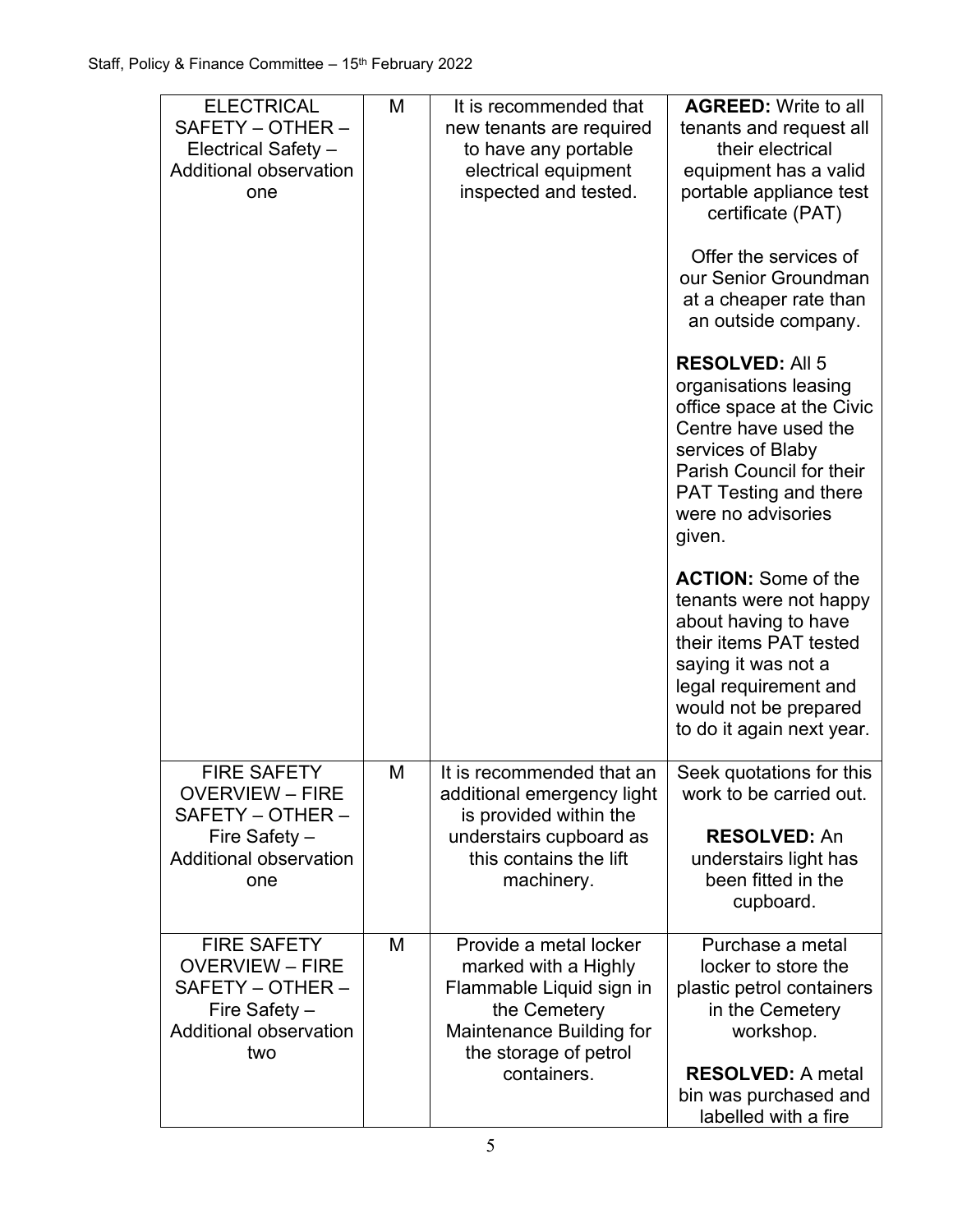| <b>ELECTRICAL</b><br>SAFETY - OTHER -<br>Electrical Safety -<br><b>Additional observation</b><br>one | M | It is recommended that<br>new tenants are required<br>to have any portable<br>electrical equipment<br>inspected and tested. | <b>AGREED: Write to all</b><br>tenants and request all<br>their electrical<br>equipment has a valid<br>portable appliance test<br>certificate (PAT)                                                                   |
|------------------------------------------------------------------------------------------------------|---|-----------------------------------------------------------------------------------------------------------------------------|-----------------------------------------------------------------------------------------------------------------------------------------------------------------------------------------------------------------------|
|                                                                                                      |   |                                                                                                                             | Offer the services of<br>our Senior Groundman<br>at a cheaper rate than<br>an outside company.                                                                                                                        |
|                                                                                                      |   |                                                                                                                             | <b>RESOLVED: All 5</b><br>organisations leasing<br>office space at the Civic<br>Centre have used the<br>services of Blaby<br>Parish Council for their<br><b>PAT Testing and there</b><br>were no advisories<br>given. |
|                                                                                                      |   |                                                                                                                             | <b>ACTION:</b> Some of the<br>tenants were not happy<br>about having to have<br>their items PAT tested<br>saying it was not a<br>legal requirement and<br>would not be prepared<br>to do it again next year.          |
| <b>FIRE SAFETY</b><br>OVERVIEW – FIRE                                                                | M | It is recommended that an<br>additional emergency light                                                                     | Seek quotations for this<br>work to be carried out.                                                                                                                                                                   |
| SAFETY - OTHER -<br>Fire Safety -<br><b>Additional observation</b><br>one                            |   | is provided within the<br>understairs cupboard as<br>this contains the lift<br>machinery.                                   | <b>RESOLVED: An</b><br>understairs light has<br>been fitted in the<br>cupboard.                                                                                                                                       |
| <b>FIRE SAFETY</b><br><b>OVERVIEW - FIRE</b>                                                         | M | Provide a metal locker                                                                                                      | Purchase a metal                                                                                                                                                                                                      |
| SAFETY - OTHER -<br>Fire Safety -<br><b>Additional observation</b><br>two                            |   | marked with a Highly<br>Flammable Liquid sign in<br>the Cemetery<br>Maintenance Building for<br>the storage of petrol       | locker to store the<br>plastic petrol containers<br>in the Cemetery<br>workshop.                                                                                                                                      |
|                                                                                                      |   | containers.                                                                                                                 | <b>RESOLVED: A metal</b><br>bin was purchased and<br>labelled with a fire                                                                                                                                             |